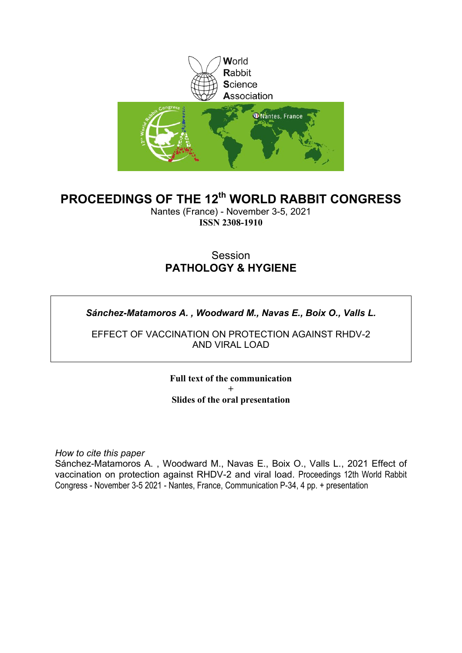

### **PROCEEDINGS OF THE 12th WORLD RABBIT CONGRESS**

Nantes (France) - November 3-5, 2021 **ISSN 2308-1910**

### Session **PATHOLOGY & HYGIENE**

#### *Sánchez-Matamoros A. , Woodward M., Navas E., Boix O., Valls L.*

EFFECT OF VACCINATION ON PROTECTION AGAINST RHDV-2 AND VIRAL LOAD

> **Full text of the communication + Slides of the oral presentation**

*How to cite this paper*

Sánchez-Matamoros A. , Woodward M., Navas E., Boix O., Valls L., 2021 Effect of vaccination on protection against RHDV-2 and viral load. Proceedings 12th World Rabbit Congress - November 3-5 2021 - Nantes, France, Communication P-34, 4 pp. + presentation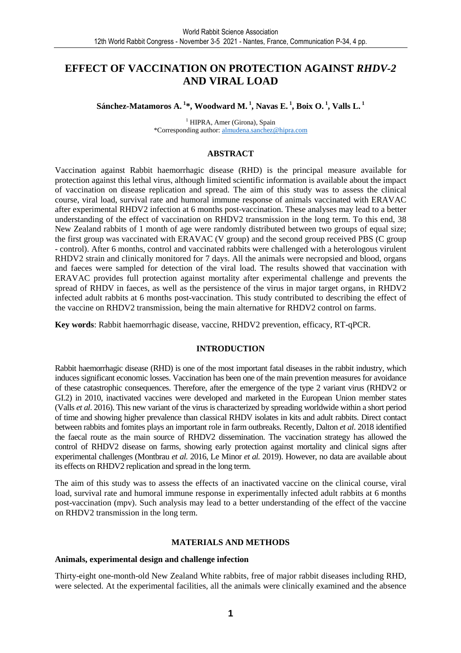### **EFFECT OF VACCINATION ON PROTECTION AGAINST** *RHDV-2*  **AND VIRAL LOAD**

**Sánchez-Matamoros A.<sup>1</sup>\*, Woodward M.<sup>1</sup>, Navas E.<sup>1</sup>, Boix O.<sup>1</sup>, Valls L.<sup>1</sup>**

<sup>1</sup> HIPRA, Amer (Girona), Spain \*Corresponding author: almudena.sanchez@hipra.com

#### **ABSTRACT**

Vaccination against Rabbit haemorrhagic disease (RHD) is the principal measure available for protection against this lethal virus, although limited scientific information is available about the impact of vaccination on disease replication and spread. The aim of this study was to assess the clinical course, viral load, survival rate and humoral immune response of animals vaccinated with ERAVAC after experimental RHDV2 infection at 6 months post-vaccination. These analyses may lead to a better understanding of the effect of vaccination on RHDV2 transmission in the long term. To this end, 38 New Zealand rabbits of 1 month of age were randomly distributed between two groups of equal size; the first group was vaccinated with ERAVAC (V group) and the second group received PBS (C group - control). After 6 months, control and vaccinated rabbits were challenged with a heterologous virulent RHDV2 strain and clinically monitored for 7 days. All the animals were necropsied and blood, organs and faeces were sampled for detection of the viral load. The results showed that vaccination with ERAVAC provides full protection against mortality after experimental challenge and prevents the spread of RHDV in faeces, as well as the persistence of the virus in major target organs, in RHDV2 infected adult rabbits at 6 months post-vaccination. This study contributed to describing the effect of the vaccine on RHDV2 transmission, being the main alternative for RHDV2 control on farms.

**Key words**: Rabbit haemorrhagic disease, vaccine, RHDV2 prevention, efficacy, RT-qPCR.

#### **INTRODUCTION**

Rabbit haemorrhagic disease (RHD) is one of the most important fatal diseases in the rabbit industry, which induces significant economic losses. Vaccination has been one of the main prevention measures for avoidance of these catastrophic consequences. Therefore, after the emergence of the type 2 variant virus (RHDV2 or GI.2) in 2010, inactivated vaccines were developed and marketed in the European Union member states (Valls *et al*. 2016). This new variant of the virus is characterized by spreading worldwide within a short period of time and showing higher prevalence than classical RHDV isolates in kits and adult rabbits. Direct contact between rabbits and fomites plays an important role in farm outbreaks. Recently, Dalton *et al*. 2018 identified the faecal route as the main source of RHDV2 dissemination. The vaccination strategy has allowed the control of RHDV2 disease on farms, showing early protection against mortality and clinical signs after experimental challenges (Montbrau *et al.* 2016, Le Minor *et al.* 2019). However, no data are available about its effects on RHDV2 replication and spread in the long term.

The aim of this study was to assess the effects of an inactivated vaccine on the clinical course, viral load, survival rate and humoral immune response in experimentally infected adult rabbits at 6 months post-vaccination (mpv). Such analysis may lead to a better understanding of the effect of the vaccine on RHDV2 transmission in the long term.

#### **MATERIALS AND METHODS**

#### **Animals, experimental design and challenge infection**

Thirty-eight one-month-old New Zealand White rabbits, free of major rabbit diseases including RHD, were selected. At the experimental facilities, all the animals were clinically examined and the absence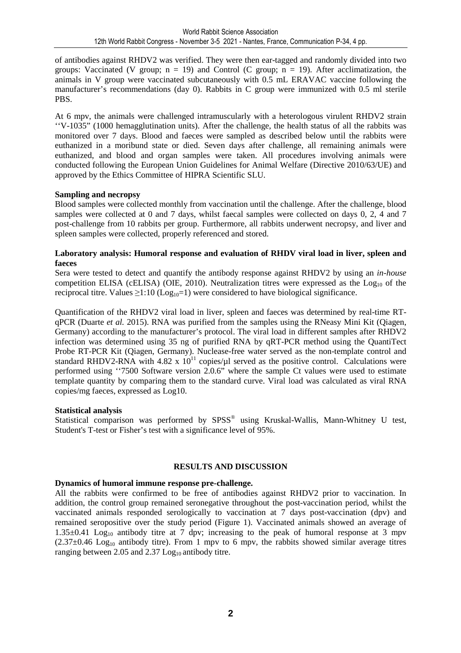of antibodies against RHDV2 was verified. They were then ear-tagged and randomly divided into two groups: Vaccinated (V group;  $n = 19$ ) and Control (C group;  $n = 19$ ). After acclimatization, the animals in V group were vaccinated subcutaneously with 0.5 mL ERAVAC vaccine following the manufacturer's recommendations (day 0). Rabbits in C group were immunized with 0.5 ml sterile PBS.

At 6 mpv, the animals were challenged intramuscularly with a heterologous virulent RHDV2 strain ''V-1035" (1000 hemagglutination units). After the challenge, the health status of all the rabbits was monitored over 7 days. Blood and faeces were sampled as described below until the rabbits were euthanized in a moribund state or died. Seven days after challenge, all remaining animals were euthanized, and blood and organ samples were taken. All procedures involving animals were conducted following the European Union Guidelines for Animal Welfare (Directive 2010/63/UE) and approved by the Ethics Committee of HIPRA Scientific SLU.

#### **Sampling and necropsy**

Blood samples were collected monthly from vaccination until the challenge. After the challenge, blood samples were collected at 0 and 7 days, whilst faecal samples were collected on days 0, 2, 4 and 7 post-challenge from 10 rabbits per group. Furthermore, all rabbits underwent necropsy, and liver and spleen samples were collected, properly referenced and stored.

#### **Laboratory analysis: Humoral response and evaluation of RHDV viral load in liver, spleen and faeces**

Sera were tested to detect and quantify the antibody response against RHDV2 by using an *in-house* competition ELISA (cELISA) (OIE, 2010). Neutralization titres were expressed as the  $Log<sub>10</sub>$  of the reciprocal titre. Values  $\geq 1:10$  (Log<sub>10</sub>=1) were considered to have biological significance.

Quantification of the RHDV2 viral load in liver, spleen and faeces was determined by real-time RTqPCR (Duarte *et al.* 2015). RNA was purified from the samples using the RNeasy Mini Kit (Qiagen, Germany) according to the manufacturer's protocol. The viral load in different samples after RHDV2 infection was determined using 35 ng of purified RNA by qRT-PCR method using the QuantiTect Probe RT-PCR Kit (Qiagen, Germany). Nuclease-free water served as the non-template control and standard RHDV2-RNA with 4.82 x  $10^{11}$  copies/ $\mu$ l served as the positive control. Calculations were performed using ''7500 Software version 2.0.6" where the sample Ct values were used to estimate template quantity by comparing them to the standard curve. Viral load was calculated as viral RNA copies/mg faeces, expressed as Log10.

#### **Statistical analysis**

Statistical comparison was performed by SPSS® using Kruskal-Wallis, Mann-Whitney U test, Student's T-test or Fisher's test with a significance level of 95%.

#### **RESULTS AND DISCUSSION**

#### **Dynamics of humoral immune response pre-challenge.**

All the rabbits were confirmed to be free of antibodies against RHDV2 prior to vaccination. In addition, the control group remained seronegative throughout the post-vaccination period, whilst the vaccinated animals responded serologically to vaccination at 7 days post-vaccination (dpv) and remained seropositive over the study period (Figure 1). Vaccinated animals showed an average of 1.35 $\pm$ 0.41 Log<sub>10</sub> antibody titre at 7 dpv; increasing to the peak of humoral response at 3 mpv  $(2.37\pm0.46 \text{ Log}_{10}$  antibody titre). From 1 mpv to 6 mpv, the rabbits showed similar average titres ranging between 2.05 and  $2.37 \text{Log}_{10}$  antibody titre.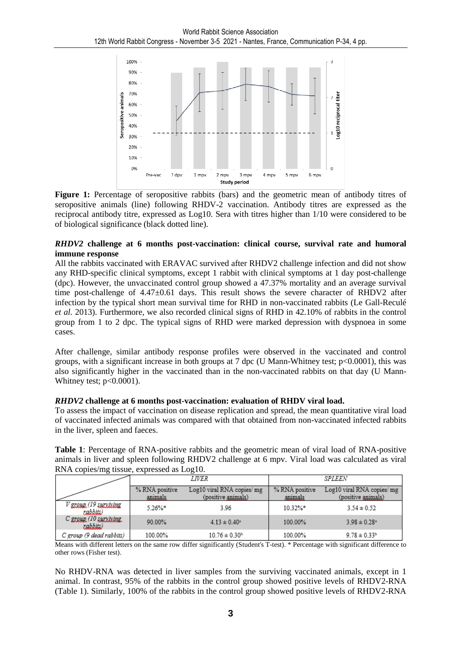

**Figure 1:** Percentage of seropositive rabbits (bars) and the geometric mean of antibody titres of seropositive animals (line) following RHDV-2 vaccination. Antibody titres are expressed as the reciprocal antibody titre, expressed as Log10. Sera with titres higher than 1/10 were considered to be of biological significance (black dotted line).

#### *RHDV2* **challenge at 6 months post-vaccination: clinical course, survival rate and humoral immune response**

All the rabbits vaccinated with ERAVAC survived after RHDV2 challenge infection and did not show any RHD-specific clinical symptoms, except 1 rabbit with clinical symptoms at 1 day post-challenge (dpc). However, the unvaccinated control group showed a 47.37% mortality and an average survival time post-challenge of 4.47±0.61 days. This result shows the severe character of RHDV2 after infection by the typical short mean survival time for RHD in non-vaccinated rabbits (Le Gall-Reculé *et al.* 2013). Furthermore, we also recorded clinical signs of RHD in 42.10% of rabbits in the control group from 1 to 2 dpc. The typical signs of RHD were marked depression with dyspnoea in some cases.

After challenge, similar antibody response profiles were observed in the vaccinated and control groups, with a significant increase in both groups at 7 dpc (U Mann-Whitney test; p<0.0001), this was also significantly higher in the vaccinated than in the non-vaccinated rabbits on that day (U Mann-Whitney test;  $p<0.0001$ ).

#### *RHDV2* **challenge at 6 months post-vaccination: evaluation of RHDV viral load.**

To assess the impact of vaccination on disease replication and spread, the mean quantitative viral load of vaccinated infected animals was compared with that obtained from non-vaccinated infected rabbits in the liver, spleen and faeces.

**Table 1**: Percentage of RNA-positive rabbits and the geometric mean of viral load of RNA-positive animals in liver and spleen following RHDV2 challenge at 6 mpv. Viral load was calculated as viral RNA copies/mg tissue, expressed as Log10.

|                                   | <i>LIVER</i>              |                                                  | SPLEEN                    |                                                  |
|-----------------------------------|---------------------------|--------------------------------------------------|---------------------------|--------------------------------------------------|
|                                   | % RNA positive<br>anımals | Log10 viral RNA copies/ mg<br>(positive animals) | % RNA positive<br>animals | Log10 viral RNA copies/ mg<br>(positive animals) |
| V group (19 surviving<br>rabbits) | $5.26\%$ *                | 3.96                                             | $10.32\%*$                | $3.54 \pm 0.52$                                  |
| C group (10 surviving<br>rabbits) | 90.00%                    | $4.13 \pm 0.40^{\circ}$                          | 100.00%                   | $3.98 \pm 0.28$ <sup>a</sup>                     |
| C group (9 dead rabbits)          | 100.00%                   | $10.76 \pm 0.30$ <sup>b</sup>                    | 100.00%                   | $9.78 \pm 0.33^{\rm h}$                          |

Means with different letters on the same row differ significantly (Student's T-test). \* Percentage with significant difference to other rows (Fisher test).

No RHDV-RNA was detected in liver samples from the surviving vaccinated animals, except in 1 animal. In contrast, 95% of the rabbits in the control group showed positive levels of RHDV2-RNA (Table 1). Similarly, 100% of the rabbits in the control group showed positive levels of RHDV2-RNA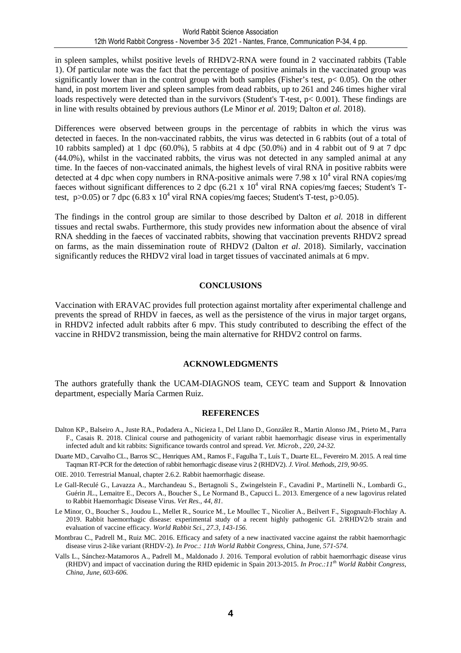in spleen samples, whilst positive levels of RHDV2-RNA were found in 2 vaccinated rabbits (Table 1). Of particular note was the fact that the percentage of positive animals in the vaccinated group was significantly lower than in the control group with both samples (Fisher's test, p< 0.05). On the other hand, in post mortem liver and spleen samples from dead rabbits, up to 261 and 246 times higher viral loads respectively were detected than in the survivors (Student's T-test, p< 0.001). These findings are in line with results obtained by previous authors (Le Minor *et al.* 2019; Dalton *et al.* 2018).

Differences were observed between groups in the percentage of rabbits in which the virus was detected in faeces. In the non-vaccinated rabbits, the virus was detected in 6 rabbits (out of a total of 10 rabbits sampled) at 1 dpc (60.0%), 5 rabbits at 4 dpc (50.0%) and in 4 rabbit out of 9 at 7 dpc (44.0%), whilst in the vaccinated rabbits, the virus was not detected in any sampled animal at any time. In the faeces of non-vaccinated animals, the highest levels of viral RNA in positive rabbits were detected at 4 dpc when copy numbers in RNA-positive animals were 7.98 x  $10^4$  viral RNA copies/mg faeces without significant differences to 2 dpc  $(6.21 \times 10^4 \text{ viral RNA copies/mg faces};$  Student's Ttest,  $p > 0.05$ ) or 7 dpc (6.83 x 10<sup>4</sup> viral RNA copies/mg faeces; Student's T-test,  $p > 0.05$ ).

The findings in the control group are similar to those described by Dalton *et al.* 2018 in different tissues and rectal swabs. Furthermore, this study provides new information about the absence of viral RNA shedding in the faeces of vaccinated rabbits, showing that vaccination prevents RHDV2 spread on farms, as the main dissemination route of RHDV2 (Dalton *et al*. 2018). Similarly, vaccination significantly reduces the RHDV2 viral load in target tissues of vaccinated animals at 6 mpv.

#### **CONCLUSIONS**

Vaccination with ERAVAC provides full protection against mortality after experimental challenge and prevents the spread of RHDV in faeces, as well as the persistence of the virus in major target organs, in RHDV2 infected adult rabbits after 6 mpv. This study contributed to describing the effect of the vaccine in RHDV2 transmission, being the main alternative for RHDV2 control on farms.

#### **ACKNOWLEDGMENTS**

The authors gratefully thank the UCAM-DIAGNOS team, CEYC team and Support & Innovation department, especially María Carmen Ruiz.

#### **REFERENCES**

- Dalton KP., Balseiro A., Juste RA., Podadera A., Nicieza I., Del Llano D., González R., Martin Alonso JM., Prieto M., Parra F., Casais R. 2018. Clinical course and pathogenicity of variant rabbit haemorrhagic disease virus in experimentally infected adult and kit rabbits: Significance towards control and spread. *Vet. Microb., 220, 24-32.*
- Duarte MD., Carvalho CL., Barros SC., Henriques AM., Ramos F., Fagulha T., Luís T., Duarte EL., Fevereiro M. 2015. A real time Taqman RT-PCR for the detection of rabbit hemorrhagic disease virus 2 (RHDV2). *J. Virol. Methods*, *219, 90-95.*

OIE. 2010. Terrestrial Manual, chapter 2.6.2. Rabbit haemorrhagic disease.

- Le Gall-Reculé G., Lavazza A., Marchandeau S., Bertagnoli S., Zwingelstein F., Cavadini P., Martinelli N., Lombardi G., Guérin JL., Lemaitre E., Decors A., Boucher S., Le Normand B., Capucci L. 2013. Emergence of a new lagovirus related to Rabbit Haemorrhagic Disease Virus. *Vet Res., 44, 81.*
- Le Minor, O., Boucher S., Joudou L., Mellet R., Sourice M., Le Moullec T., Nicolier A., Beilvert F., Sigognault-Flochlay A. 2019. Rabbit haemorrhagic disease: experimental study of a recent highly pathogenic GI. 2/RHDV2/b strain and evaluation of vaccine efficacy. *World Rabbit Sci., 27.3, 143-156.*
- Montbrau C., Padrell M., Ruiz MC. 2016. Efficacy and safety of a new inactivated vaccine against the rabbit haemorrhagic disease virus 2-like variant (RHDV-2). *In Proc.: 11th World Rabbit Congress,* China, June*, 571-574.*
- Valls L., Sánchez-Matamoros A., Padrell M., Maldonado J. 2016. Temporal evolution of rabbit haemorrhagic disease virus (RHDV) and impact of vaccination during the RHD epidemic in Spain 2013-2015. *In Proc.:11th World Rabbit Congress, China, June, 603-606.*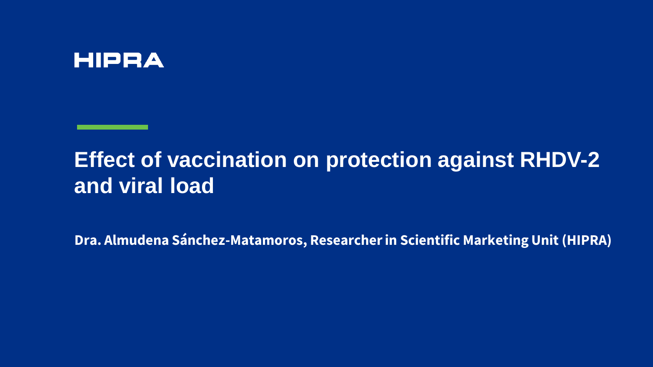### **HIPRA**

# **Effect of vaccination on protection against RHDV-2 and viral load**

**Dra. Almudena Sánchez-Matamoros, Researcherin Scientific Marketing Unit (HIPRA)**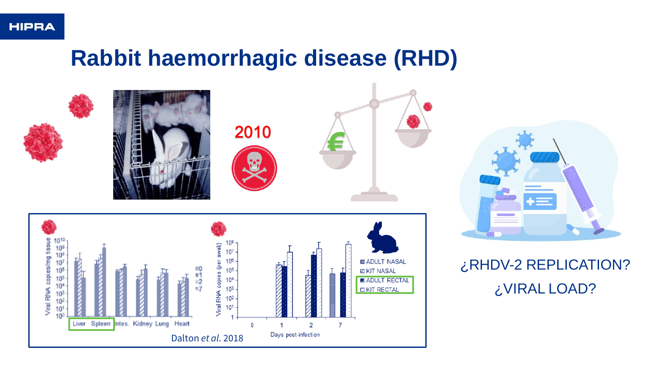# **Rabbit haemorrhagic disease (RHD)**





### ¿RHDV-2 REPLICATION? ¿VIRAL LOAD?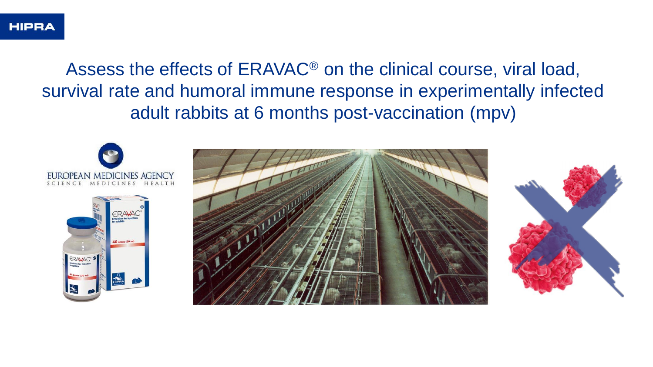Assess the effects of ERAVAC® on the clinical course, viral load, survival rate and humoral immune response in experimentally infected adult rabbits at 6 months post-vaccination (mpv)

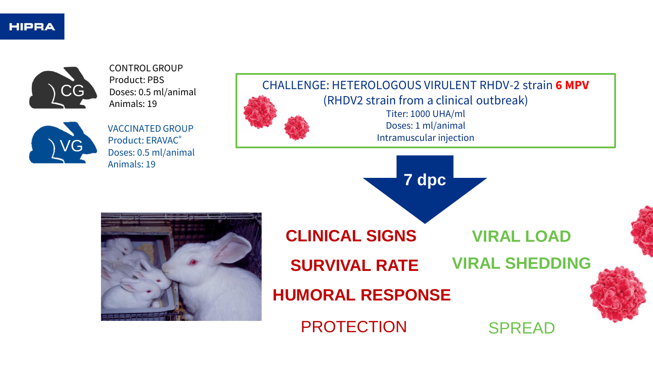

CONTROL GROUP Product: PBS Doses: 0.5 ml/animal Animals: 19



VACCINATED GROUP Product: ERAVAC® Doses: 0.5 ml/animal Animals: 19

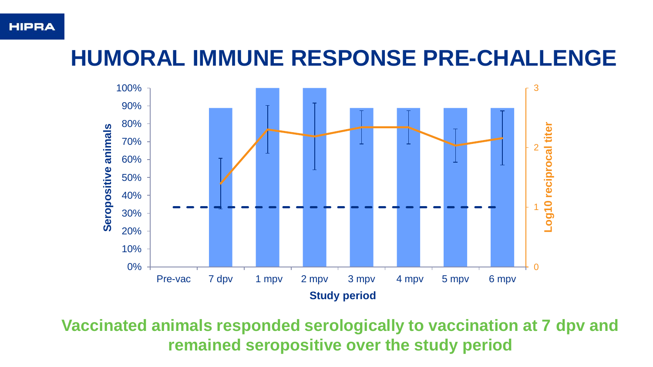#### **HIPRA**

# **HUMORAL IMMUNE RESPONSE PRE-CHALLENGE**



**Vaccinated animals responded serologically to vaccination at 7 dpv and remained seropositive over the study period**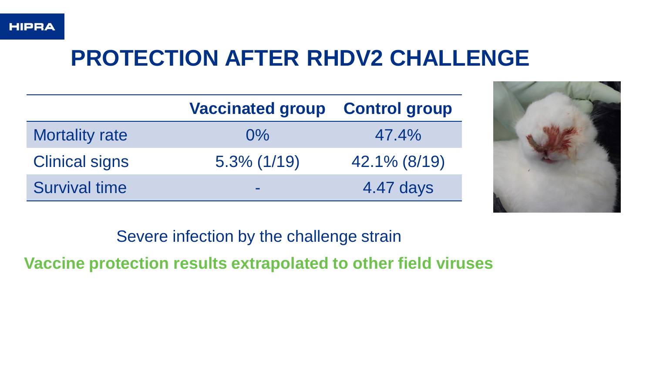

# **PROTECTION AFTER RHDV2 CHALLENGE**

|                       | <b>Vaccinated group</b> | <b>Control group</b> |
|-----------------------|-------------------------|----------------------|
| <b>Mortality rate</b> | $0\%$                   | $47.4\%$             |
| <b>Clinical signs</b> | $5.3\%$ (1/19)          | 42.1% (8/19)         |
| <b>Survival time</b>  | $\sim$                  | 4.47 days            |



Severe infection by the challenge strain

**Vaccine protection results extrapolated to other field viruses**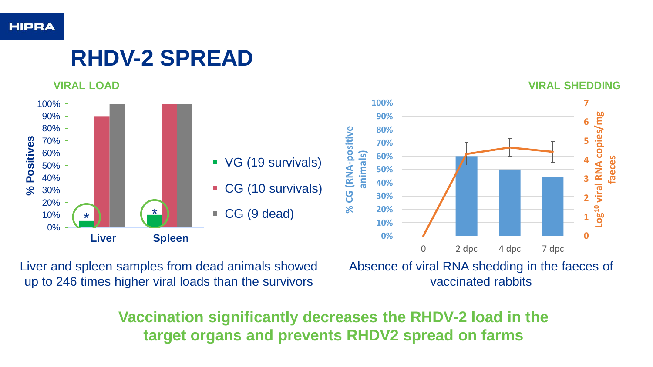

# **RHDV-2 SPREAD**



Liver and spleen samples from dead animals showed up to 246 times higher viral loads than the survivors

Absence of viral RNA shedding in the faeces of vaccinated rabbits

**Vaccination significantly decreases the RHDV-2 load in the target organs and prevents RHDV2 spread on farms**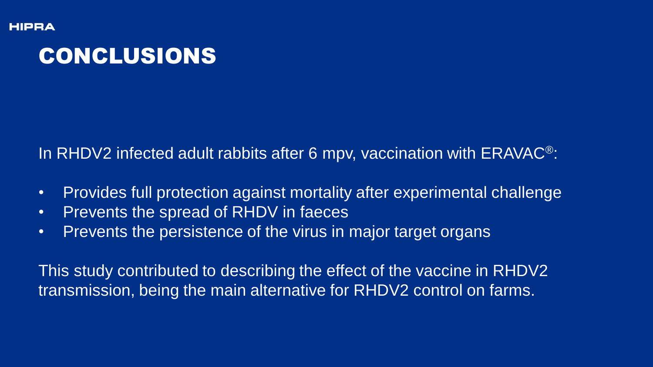# CONCLUSIONS

In RHDV2 infected adult rabbits after 6 mpv, vaccination with ERAVAC®:

- Provides full protection against mortality after experimental challenge
- Prevents the spread of RHDV in faeces
- Prevents the persistence of the virus in major target organs

This study contributed to describing the effect of the vaccine in RHDV2 transmission, being the main alternative for RHDV2 control on farms.